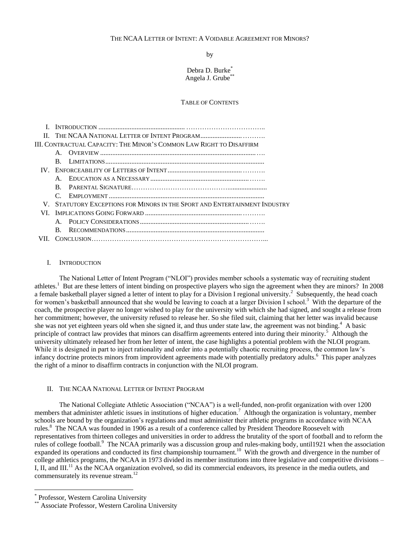# THE NCAA LETTER OF INTENT: A VOIDABLE AGREEMENT FOR MINORS?

by

Debra D. Burke<sup>\*</sup> Angela J. Grube<sup>\*</sup>

## TABLE OF CONTENTS

| III. CONTRACTUAL CAPACITY: THE MINOR'S COMMON LAW RIGHT TO DISAFFIRM |    |                                                                            |  |
|----------------------------------------------------------------------|----|----------------------------------------------------------------------------|--|
|                                                                      |    |                                                                            |  |
|                                                                      | R. |                                                                            |  |
|                                                                      |    |                                                                            |  |
|                                                                      |    |                                                                            |  |
|                                                                      | R. |                                                                            |  |
|                                                                      |    |                                                                            |  |
|                                                                      |    | V. STATUTORY EXCEPTIONS FOR MINORS IN THE SPORT AND ENTERTAINMENT INDUSTRY |  |
| VI –                                                                 |    |                                                                            |  |
|                                                                      |    |                                                                            |  |
|                                                                      | B. |                                                                            |  |
|                                                                      |    |                                                                            |  |

## I. INTRODUCTION

The National Letter of Intent Program ("NLOI") provides member schools a systematic way of recruiting student athletes.<sup>1</sup> But are these letters of intent binding on prospective players who sign the agreement when they are minors? In 2008 a female basketball player signed a letter of intent to play for a Division I regional university.<sup>2</sup> Subsequently, the head coach for women's basketball announced that she would be leaving to coach at a larger Division I school.<sup>3</sup> With the departure of the coach, the prospective player no longer wished to play for the university with which she had signed, and sought a release from her commitment; however, the university refused to release her. So she filed suit, claiming that her letter was invalid because she was not yet eighteen years old when she signed it, and thus under state law, the agreement was not binding.<sup>4</sup> A basic principle of contract law provides that minors can disaffirm agreements entered into during their minority.<sup>5</sup> Although the university ultimately released her from her letter of intent, the case highlights a potential problem with the NLOI program. While it is designed in part to inject rationality and order into a potentially chaotic recruiting process, the common law's infancy doctrine protects minors from improvident agreements made with potentially predatory adults.<sup>6</sup> This paper analyzes the right of a minor to disaffirm contracts in conjunction with the NLOI program.

# II. THE NCAA NATIONAL LETTER OF INTENT PROGRAM

The National Collegiate Athletic Association ("NCAA") is a well-funded, non-profit organization with over 1200 members that administer athletic issues in institutions of higher education.<sup>7</sup> Although the organization is voluntary, member schools are bound by the organization's regulations and must administer their athletic programs in accordance with NCAA rules.<sup>8</sup> The NCAA was founded in 1906 as a result of a conference called by President Theodore Roosevelt with representatives from thirteen colleges and universities in order to address the brutality of the sport of football and to reform the rules of college football.<sup>9</sup> The NCAA primarily was a discussion group and rules-making body, until1921 when the association expanded its operations and conducted its first championship tournament.<sup>10</sup> With the growth and divergence in the number of college athletics programs, the NCAA in 1973 divided its member institutions into three legislative and competitive divisions – I, II, and III.<sup>11</sup> As the NCAA organization evolved, so did its commercial endeavors, its presence in the media outlets, and commensurately its revenue stream.<sup>12</sup>

 $\overline{a}$ 

<sup>\*</sup> Professor, Western Carolina University

Associate Professor, Western Carolina University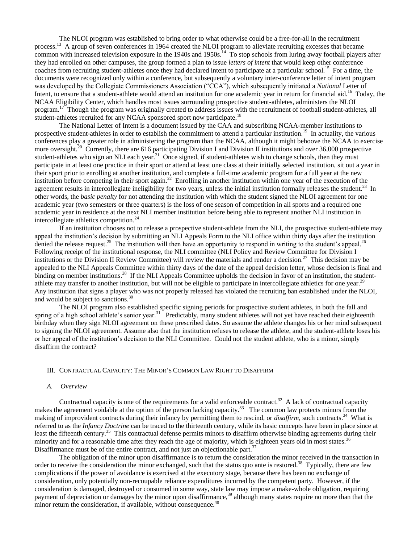The NLOI program was established to bring order to what otherwise could be a free-for-all in the recruitment process.<sup>13</sup> A group of seven conferences in 1964 created the NLOI program to alleviate recruiting excesses that became common with increased television exposure in the  $1940s$  and  $1950s<sup>14</sup>$ . To stop schools from luring away football players after they had enrolled on other campuses, the group formed a plan to issue *letters of intent* that would keep other conference coaches from recruiting student-athletes once they had declared intent to participate at a particular school.<sup>15</sup> For a time, the documents were recognized only within a conference, but subsequently a voluntary inter-conference letter of intent program was developed by the Collegiate Commissioners Association ("CCA"), which subsequently initiated a *National* Letter of Intent, to ensure that a student-athlete would attend an institution for one academic year in return for financial aid.<sup>16</sup> Today, the NCAA Eligibility Center, which handles most issues surrounding prospective student-athletes, administers the NLOI program.<sup>17</sup> Though the program was originally created to address issues with the recruitment of football student-athletes, all student-athletes recruited for any NCAA sponsored sport now participate.<sup>18</sup>

The National Letter of Intent is a document issued by the CAA and subscribing NCAA-member institutions to prospective student-athletes in order to establish the commitment to attend a particular institution.<sup>19</sup> In actuality, the various conferences play a greater role in administering the program than the NCAA, although it might behoove the NCAA to exercise more oversight.<sup>20</sup> Currently, there are 616 participating Division I and Division II institutions and over 36,000 prospective student-athletes who sign an NLI each year.<sup>21</sup> Once signed, if student-athletes wish to change schools, then they must participate in at least one practice in their sport or attend at least one class at their initially selected institution, sit out a year in their sport prior to enrolling at another institution, and complete a full-time academic program for a full year at the new institution before competing in their sport again.<sup>22</sup> Enrolling in another institution within one year of the execution of the agreement results in intercollegiate ineligibility for two years, unless the initial institution formally releases the student.<sup>23</sup> In other words, the *basic penalty* for not attending the institution with which the student signed the NLOI agreement for one academic year (two semesters or three quarters) is the loss of one season of competition in all sports and a required one academic year in residence at the next NLI member institution before being able to represent another NLI institution in intercollegiate athletics competition.<sup>24</sup>

If an institution chooses not to release a prospective student-athlete from the NLI, the prospective student-athlete may appeal the institution's decision by submitting an NLI Appeals Form to the NLI office within thirty days after the institution denied the release request.<sup>25</sup> The institution will then have an opportunity to respond in writing to the student's appeal.<sup>26</sup> Following receipt of the institutional response, the NLI committee (NLI Policy and Review Committee for Division I institutions or the Division II Review Committee) will review the materials and render a decision.<sup>27</sup> This decision may be appealed to the NLI Appeals Committee within thirty days of the date of the appeal decision letter, whose decision is final and binding on member institutions.<sup>28</sup> If the NLI Appeals Committee upholds the decision in favor of an institution, the studentathlete may transfer to another institution, but will not be eligible to participate in intercollegiate athletics for one year.<sup>29</sup> Any institution that signs a player who was not properly released has violated the recruiting ban established under the NLOI, and would be subject to sanctions.<sup>30</sup>

The NLOI program also established specific signing periods for prospective student athletes, in both the fall and spring of a high school athlete's senior year.<sup>31</sup> Predictably, many student athletes will not yet have reached their eighteenth birthday when they sign NLOI agreement on these prescribed dates. So assume the athlete changes his or her mind subsequent to signing the NLOI agreement. Assume also that the institution refuses to release the athlete, and the student-athlete loses his or her appeal of the institution's decision to the NLI Committee. Could not the student athlete, who is a minor, simply disaffirm the contract?

# III. CONTRACTUAL CAPACITY: THE MINOR'S COMMON LAW RIGHT TO DISAFFIRM

### *A. Overview*

Contractual capacity is one of the requirements for a valid enforceable contract.<sup>32</sup> A lack of contractual capacity makes the agreement voidable at the option of the person lacking capacity.<sup>33</sup> The common law protects minors from the making of improvident contracts during their infancy by permitting them to rescind, or *disaffirm*, such contracts.<sup>34</sup> What is referred to as the *Infancy Doctrine* can be traced to the thirteenth century, while its basic concepts have been in place since at least the fifteenth century.<sup>35</sup> This contractual defense permits minors to disaffirm otherwise binding agreements during their minority and for a reasonable time after they reach the age of majority, which is eighteen years old in most states.<sup>36</sup> Disaffirmance must be of the entire contract, and not just an objectionable part. $37$ 

The obligation of the minor upon disaffirmance is to return the consideration the minor received in the transaction in order to receive the consideration the minor exchanged, such that the status quo ante is restored.<sup>38</sup> Typically, there are few complications if the power of avoidance is exercised at the executory stage, because there has been no exchange of consideration, only potentially non-recoupable reliance expenditures incurred by the competent party. However, if the consideration is damaged, destroyed or consumed in some way, state law may impose a make-whole obligation, requiring payment of depreciation or damages by the minor upon disaffirmance,<sup>39</sup> although many states require no more than that the minor return the consideration, if available, without consequence. $40$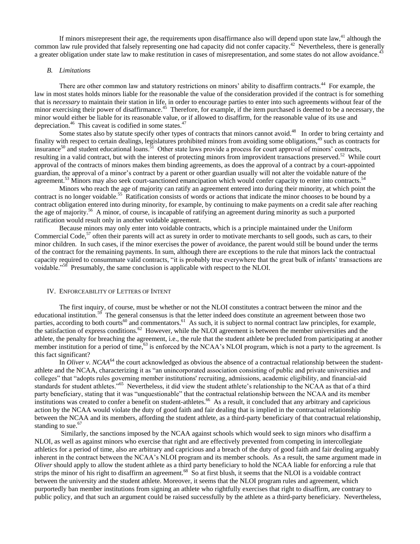If minors misrepresent their age, the requirements upon disaffirmance also will depend upon state law,<sup>41</sup> although the common law rule provided that falsely representing one had capacity did not confer capacity.<sup>42</sup> Nevertheless, there is generally a greater obligation under state law to make restitution in cases of misrepresentation, and some states do not allow avoidance.<sup>4</sup>

#### *B. Limitations*

There are other common law and statutory restrictions on minors' ability to disaffirm contracts.<sup>44</sup> For example, the law in most states holds minors liable for the reasonable the value of the consideration provided if the contract is for something that is *necessary* to maintain their station in life, in order to encourage parties to enter into such agreements without fear of the minor exercising their power of disaffirmance.<sup>45</sup> Therefore, for example, if the item purchased is deemed to be a necessary, the minor would either be liable for its reasonable value, or if allowed to disaffirm, for the reasonable value of its use and depreciation.<sup>46</sup> This caveat is codified in some states.<sup>47</sup>

Some states also by statute specify other types of contracts that minors cannot avoid.<sup>48</sup> In order to bring certainty and finality with respect to certain dealings, legislatures prohibited minors from avoiding some obligations,<sup>49</sup> such as contracts for insurance<sup>50</sup> and student educational loans.<sup>51</sup> Other state laws provide a process for court approval of minors' contracts, resulting in a valid contract, but with the interest of protecting minors from improvident transactions preserved.<sup>52</sup> While court approval of the contracts of minors makes them binding agreements, as does the approval of a contract by a court-appointed guardian, the approval of a minor's contract by a parent or other guardian usually will not alter the voidable nature of the agreement.<sup>53</sup> Minors may also seek court-sanctioned emancipation which would confer capacity to enter into contracts.<sup>54</sup>

Minors who reach the age of majority can ratify an agreement entered into during their minority, at which point the contract is no longer voidable.<sup>55</sup> Ratification consists of words or actions that indicate the minor chooses to be bound by a contract obligation entered into during minority, for example, by continuing to make payments on a credit sale after reaching the age of majority.<sup>56</sup> A minor, of course, is incapable of ratifying an agreement during minority as such a purported ratification would result only in another voidable agreement.

Because minors may only enter into voidable contracts, which is a principle maintained under the Uniform Commercial Code, $57$  often their parents will act as surety in order to motivate merchants to sell goods, such as cars, to their minor children. In such cases, if the minor exercises the power of avoidance, the parent would still be bound under the terms of the contract for the remaining payments. In sum, although there are exceptions to the rule that minors lack the contractual capacity required to consummate valid contracts, "it is probably true everywhere that the great bulk of infants' transactions are voidable."<sup>58</sup> Presumably, the same conclusion is applicable with respect to the NLOI.

### IV. ENFORCEABILITY OF LETTERS OF INTENT

The first inquiry, of course, must be whether or not the NLOI constitutes a contract between the minor and the educational institution.<sup>59</sup> The general consensus is that the letter indeed does constitute an agreement between those two parties, according to both courts<sup>60</sup> and commentators.<sup>61</sup> As such, it is subject to normal contract law principles, for example, the satisfaction of express conditions.<sup>62</sup> However, while the NLOI agreement is between the member universities and the athlete, the penalty for breaching the agreement, i.e., the rule that the student athlete be precluded from participating at another member institution for a period of time,<sup>63</sup> is enforced by the NCAA's NLOI program, which is not a party to the agreement. Is this fact significant?

In *Oliver v. NCAA*<sup>64</sup> the court acknowledged as obvious the absence of a contractual relationship between the studentathlete and the NCAA, characterizing it as "an unincorporated association consisting of public and private universities and colleges" that "adopts rules governing member institutions' recruiting, admissions, academic eligibility, and financial-aid standards for student athletes."<sup>65</sup> Nevertheless, it did view the student athlete's relationship to the NCAA as that of a third party beneficiary, stating that it was "unquestionable" that the contractual relationship between the NCAA and its member institutions was created to confer a benefit on student-athletes.<sup>66</sup> As a result, it concluded that any arbitrary and capricious action by the NCAA would violate the duty of good faith and fair dealing that is implied in the contractual relationship between the NCAA and its members, affording the student athlete, as a third-party beneficiary of that contractual relationship, standing to sue.<sup>67</sup>

Similarly, the sanctions imposed by the NCAA against schools which would seek to sign minors who disaffirm a NLOI, as well as against minors who exercise that right and are effectively prevented from competing in intercollegiate athletics for a period of time, also are arbitrary and capricious and a breach of the duty of good faith and fair dealing arguably inherent in the contract between the NCAA's NLOI program and its member schools. As a result, the same argument made in *Oliver* should apply to allow the student athlete as a third party beneficiary to hold the NCAA liable for enforcing a rule that strips the minor of his right to disaffirm an agreement.<sup>68</sup> So at first blush, it seems that the NLOI is a voidable contract between the university and the student athlete. Moreover, it seems that the NLOI program rules and agreement, which purportedly ban member institutions from signing an athlete who rightfully exercises that right to disaffirm, are contrary to public policy, and that such an argument could be raised successfully by the athlete as a third-party beneficiary. Nevertheless,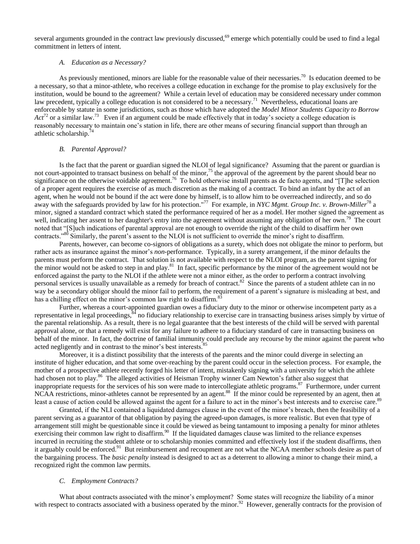several arguments grounded in the contract law previously discussed,<sup>69</sup> emerge which potentially could be used to find a legal commitment in letters of intent.

# *A. Education as a Necessary?*

As previously mentioned, minors are liable for the reasonable value of their necessaries.<sup>70</sup> Is education deemed to be a necessary, so that a minor-athlete, who receives a college education in exchange for the promise to play exclusively for the institution, would be bound to the agreement? While a certain level of education may be considered necessary under common law precedent, typically a college education is not considered to be a necessary.<sup>71</sup> Nevertheless, educational loans are enforceable by statute in some jurisdictions, such as those which have adopted the *Model Minor Students Capacity to Borrow*   $Act^{72}$  or a similar law.<sup>73</sup> Even if an argument could be made effectively that in today's society a college education is reasonably necessary to maintain one's station in life, there are other means of securing financial support than through an athletic scholarship.<sup>74</sup>

### *B. Parental Approval?*

Is the fact that the parent or guardian signed the NLOI of legal significance? Assuming that the parent or guardian is not court-appointed to transact business on behalf of the minor,<sup>75</sup> the approval of the agreement by the parent should bear no significance on the otherwise voidable agreement.<sup>76</sup> To hold otherwise install parents as de facto agents, and "[T]he selection of a proper agent requires the exercise of as much discretion as the making of a contract. To bind an infant by the act of an agent, when he would not be bound if the act were done by himself, is to allow him to be overreached indirectly, and so do away with the safeguards provided by law for his protection."<sup>77</sup> For example, in *NYC Mgmt. Group Inc. v. Brown-Miller*<sup>78</sup> a minor, signed a standard contract which stated the performance required of her as a model. Her mother signed the agreement as well, indicating her assent to her daughter's entry into the agreement without assuming any obligation of her own.<sup>79</sup> The court noted that "[S]uch indications of parental approval are not enough to override the right of the child to disaffirm her own contracts."<sup>80</sup> Similarly, the parent's assent to the NLOI is not sufficient to override the minor's right to disaffirm.

Parents, however, can become co-signors of obligations as a surety, which does not obligate the minor to perform, but rather acts as insurance against the minor's *non*-performance. Typically, in a surety arrangement, if the minor defaults the parents must perform the contract. That solution is not available with respect to the NLOI program, as the parent signing for the minor would not be asked to step in and play.<sup>81</sup> In fact, specific performance by the minor of the agreement would not be enforced against the party to the NLOI if the athlete were not a minor either, as the order to perform a contract involving personal services is usually unavailable as a remedy for breach of contract.<sup>82</sup> Since the parents of a student athlete can in no way be a secondary obligor should the minor fail to perform, the requirement of a parent's signature is misleading at best, and has a chilling effect on the minor's common law right to disaffirm.<sup>8</sup>

Further, whereas a court-appointed guardian owes a fiduciary duty to the minor or otherwise incompetent party as a representative in legal proceedings,  $34$  no fiduciary relationship to exercise care in transacting business arises simply by virtue of the parental relationship. As a result, there is no legal guarantee that the best interests of the child will be served with parental approval alone, or that a remedy will exist for any failure to adhere to a fiduciary standard of care in transacting business on behalf of the minor. In fact, the doctrine of familial immunity could preclude any recourse by the minor against the parent who acted negligently and in contrast to the minor's best interests.<sup>8</sup>

Moreover, it is a distinct possibility that the interests of the parents and the minor could diverge in selecting an institute of higher education, and that some over-reaching by the parent could occur in the selection process. For example, the mother of a prospective athlete recently forged his letter of intent, mistakenly signing with a university for which the athlete had chosen not to play.<sup>86</sup> The alleged activities of Heisman Trophy winner Cam Newton's father also suggest that inappropriate requests for the services of his son were made to intercollegiate athletic programs.<sup>87</sup> Furthermore, under current NCAA restrictions, minor-athletes cannot be represented by an agent.<sup>88</sup> If the minor could be represented by an agent, then at least a cause of action could be allowed against the agent for a failure to act in the minor's best interests and to exercise care.<sup>89</sup>

Granted, if the NLI contained a liquidated damages clause in the event of the minor's breach, then the feasibility of a parent serving as a guarantor of that obligation by paying the agreed-upon damages, is more realistic. But even that type of arrangement still might be questionable since it could be viewed as being tantamount to imposing a penalty for minor athletes exercising their common law right to disaffirm.<sup>90</sup> If the liquidated damages clause was limited to the reliance expenses incurred in recruiting the student athlete or to scholarship monies committed and effectively lost if the student disaffirms, then it arguably could be enforced.<sup>91</sup> But reimbursement and recoupment are not what the NCAA member schools desire as part of the bargaining process. The *basic penalty* instead is designed to act as a deterrent to allowing a minor to change their mind, a recognized right the common law permits.

### *C. Employment Contracts?*

What about contracts associated with the minor's employment? Some states will recognize the liability of a minor with respect to contracts associated with a business operated by the minor.<sup>92</sup> However, generally contracts for the provision of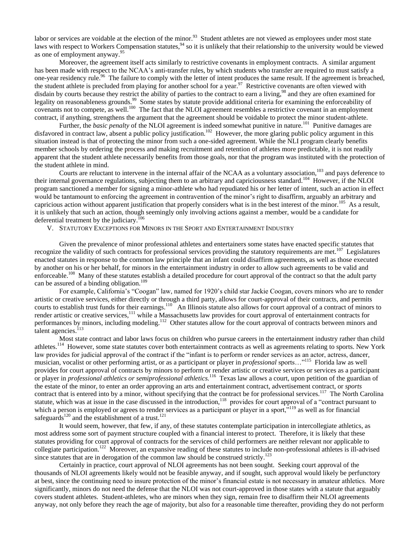labor or services are voidable at the election of the minor.<sup>93</sup> Student athletes are not viewed as employees under most state laws with respect to Workers Compensation statutes,<sup>94</sup> so it is unlikely that their relationship to the university would be viewed as one of employment anyway.<sup>95</sup>

Moreover, the agreement itself acts similarly to restrictive covenants in employment contracts. A similar argument has been made with respect to the NCAA's anti-transfer rules, by which students who transfer are required to must satisfy a one-year residency rule.<sup>96</sup> The failure to comply with the letter of intent produces the same result. If the agreement is breached, the student athlete is precluded from playing for another school for a year.<sup>97</sup> Restrictive covenants are often viewed with disdain by courts because they restrict the ability of parties to the contract to earn a living,<sup>98</sup> and they are often examined for legality on reasonableness grounds.<sup>99</sup> Some states by statute provide additional criteria for examining the enforceability of covenants not to compete, as well.<sup>100</sup> The fact that the NLOI agreement resembles a restrictive covenant in an employment contract, if anything, strengthens the argument that the agreement should be voidable to protect the minor student-athlete.

Further, the *basic penalty* of the NLOI agreement is indeed somewhat punitive in nature.<sup>101</sup> Punitive damages are disfavored in contract law, absent a public policy justification.<sup>102</sup> However, the more glaring public policy argument in this situation instead is that of protecting the minor from such a one-sided agreement. While the NLI program clearly benefits member schools by ordering the process and making recruitment and retention of athletes more predictable, it is not readily apparent that the student athlete necessarily benefits from those goals, nor that the program was instituted with the protection of the student athlete in mind.

Courts are reluctant to intervene in the internal affair of the NCAA as a voluntary association,<sup>103</sup> and pays deference to their internal governance regulations, subjecting them to an arbitrary and capriciousness standard.<sup>104</sup> However, if the NLOI program sanctioned a member for signing a minor-athlete who had repudiated his or her letter of intent, such an action in effect would be tantamount to enforcing the agreement in contravention of the minor's right to disaffirm, arguably an arbitrary and capricious action without apparent justification that properly considers what is in the best interest of the minor.<sup>105</sup> As a result, it is unlikely that such an action, though seemingly only involving actions against a member, would be a candidate for deferential treatment by the judiciary.<sup>106</sup>

V. STATUTORY EXCEPTIONS FOR MINORS IN THE SPORT AND ENTERTAINMENT INDUSTRY

Given the prevalence of minor professional athletes and entertainers some states have enacted specific statutes that recognize the validity of such contracts for professional services providing the statutory requirements are met.<sup>107</sup> Legislatures enacted statutes in response to the common law principle that an infant could disaffirm agreements, as well as those executed by another on his or her behalf, for minors in the entertainment industry in order to allow such agreements to be valid and enforceable.<sup>108</sup> Many of these statutes establish a detailed procedure for court approval of the contract so that the adult party can be assured of a binding obligation.<sup>109</sup>

For example, California's "Coogan" law, named for 1920's child star Jackie Coogan, covers minors who are to render artistic or creative services, either directly or through a third party, allows for court-approval of their contracts, and permits courts to establish trust funds for their earnings.<sup>110</sup> An Illinois statute also allows for court approval of a contract of minors to render artistic or creative services,<sup>111</sup> while a Massachusetts law provides for court approval of entertainment contracts for performances by minors, including modeling.<sup>112</sup> Other statutes allow for the court approval of contracts between minors and talent agencies.<sup>113</sup>

Most state contract and labor laws focus on children who pursue careers in the entertainment industry rather than child athletes.<sup>114</sup> However, some state statutes cover both entertainment contracts as well as agreements relating to sports. New York law provides for judicial approval of the contract if the "infant is to perform or render services as an actor, actress, dancer, musician, vocalist or other performing artist, or as a participant or player in *professional* sports…"<sup>115</sup> Florida law as well provides for court approval of contracts by minors to perform or render artistic or creative services or services as a participant or player in *professional athletics or semiprofessional athletics.*<sup>116</sup> Texas law allows a court, upon petition of the guardian of the estate of the minor, to enter an order approving an arts and entertainment contract, advertisement contract, or *sports*  contract that is entered into by a minor, without specifying that the contract be for professional services.<sup>117</sup> The North Carolina statute, which was at issue in the case discussed in the introduction,<sup>118</sup> provides for court approval of a "contract pursuant to which a person is employed or agrees to render services as a participant or player in a sport, $^{119}$  as well as for financial safeguards<sup>120</sup> and the establishment of a trust.<sup>121</sup>

It would seem, however, that few, if any, of these statutes contemplate participation in intercollegiate athletics, as most address some sort of payment structure coupled with a financial interest to protect. Therefore, it is likely that these statutes providing for court approval of contracts for the services of child performers are neither relevant nor applicable to collegiate participation.<sup>122</sup> Moreover, an expansive reading of these statutes to include non-professional athletes is ill-advised since statutes that are in derogation of the common law should be construed strictly.<sup>123</sup>

Certainly in practice, court approval of NLOI agreements has not been sought. Seeking court approval of the thousands of NLOI agreements likely would not be feasible anyway, and if sought, such approval would likely be perfunctory at best, since the continuing need to insure protection of the minor's financial estate is not necessary in amateur athletics. More significantly, minors do not need the defense that the NLOI was not court-approved in those states with a statute that arguably covers student athletes. Student-athletes, who are minors when they sign, remain free to disaffirm their NLOI agreements anyway, not only before they reach the age of majority, but also for a reasonable time thereafter, providing they do not perform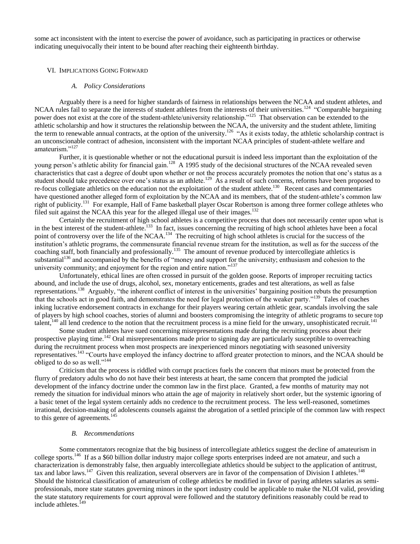some act inconsistent with the intent to exercise the power of avoidance, such as participating in practices or otherwise indicating unequivocally their intent to be bound after reaching their eighteenth birthday.

### VI. IMPLICATIONS GOING FORWARD

### *A. Policy Considerations*

Arguably there is a need for higher standards of fairness in relationships between the NCAA and student athletes, and NCAA rules fail to separate the interests of student athletes from the interests of their universities.<sup>124</sup> "Comparable bargaining power does not exist at the core of the student-athlete/university relationship."<sup>125</sup> That observation can be extended to the athletic scholarship and how it structures the relationship between the NCAA, the university and the student athlete, limiting the term to renewable annual contracts, at the option of the university.<sup>126</sup> "As it exists today, the athletic scholarship contract is an unconscionable contract of adhesion, inconsistent with the important NCAA principles of student-athlete welfare and amateurism."<sup>127</sup>

Further, it is questionable whether or not the educational pursuit is indeed less important than the exploitation of the young person's athletic ability for financial gain.<sup>128</sup> A 1995 study of the decisional structures of the NCAA revealed seven characteristics that cast a degree of doubt upon whether or not the process accurately promotes the notion that one's status as a student should take precedence over one's status as an athlete.<sup>129</sup> As a result of such concerns, reforms have been proposed to re-focus collegiate athletics on the education not the exploitation of the student athlete.<sup>130</sup> Recent cases and commentaries have questioned another alleged form of exploitation by the NCAA and its members, that of the student-athlete's common law right of publicity.<sup>131</sup> For example, Hall of Fame basketball player Oscar Robertson is among three former college athletes who filed suit against the NCAA this year for the alleged illegal use of their images.<sup>132</sup>

Certainly the recruitment of high school athletes is a competitive process that does not necessarily center upon what is in the best interest of the student-athlete.<sup>133</sup> In fact, issues concerning the recruiting of high school athletes have been a focal point of controversy over the life of the NCAA.<sup>134</sup> The recruiting of high school athletes is crucial for the success of the institution's athletic programs, the commensurate financial revenue stream for the institution, as well as for the success of the coaching staff, both financially and professionally.<sup>135</sup> The amount of revenue produced by intercollegiate athletics is substantial<sup>136</sup> and accompanied by the benefits of "money and support for the university; enthusiasm and cohesion to the university community; and enjoyment for the region and entire nation."<sup>137</sup>

Unfortunately, ethical lines are often crossed in pursuit of the golden goose. Reports of improper recruiting tactics abound, and include the use of drugs, alcohol, sex, monetary enticements, grades and test alterations, as well as false representations.<sup>138</sup> Arguably, "the inherent conflict of interest in the universities' bargaining position rebuts the presumption that the schools act in good faith, and demonstrates the need for legal protection of the weaker party."<sup>139</sup> Tales of coaches inking lucrative endorsement contracts in exchange for their players wearing certain athletic gear, scandals involving the sale of players by high school coaches, stories of alumni and boosters compromising the integrity of athletic programs to secure top talent,<sup>140</sup> all lend credence to the notion that the recruitment process is a mine field for the unwary, unsophisticated recruit.<sup>141</sup>

Some student athletes have sued concerning misrepresentations made during the recruiting process about their prospective playing time.<sup>142</sup> Oral misrepresentations made prior to signing day are particularly susceptible to overreaching during the recruitment process when most prospects are inexperienced minors negotiating with seasoned university representatives.<sup>143</sup> "Courts have employed the infancy doctrine to afford greater protection to minors, and the NCAA should be obliged to do so as well."<sup>144</sup>

Criticism that the process is riddled with corrupt practices fuels the concern that minors must be protected from the flurry of predatory adults who do not have their best interests at heart, the same concern that prompted the judicial development of the infancy doctrine under the common law in the first place. Granted, a few months of maturity may not remedy the situation for individual minors who attain the age of majority in relatively short order, but the systemic ignoring of a basic tenet of the legal system certainly adds no credence to the recruitment process. The less well-reasoned, sometimes irrational, decision-making of adolescents counsels against the abrogation of a settled principle of the common law with respect to this genre of agreements. $145$ 

## *B. Recommendations*

Some commentators recognize that the big business of intercollegiate athletics suggest the decline of amateurism in college sports.<sup>146</sup> If as a \$60 billion dollar industry major college sports enterprises indeed are not amateur, and such a characterization is demonstrably false, then arguably intercollegiate athletics should be subject to the application of antitrust, tax and labor laws.<sup>147</sup> Given this realization, several observers are in favor of the compensation of Division I athletes.<sup>148</sup> Should the historical classification of amateurism of college athletics be modified in favor of paying athletes salaries as semiprofessionals, more state statutes governing minors in the sport industry could be applicable to make the NLOI valid, providing the state statutory requirements for court approval were followed and the statutory definitions reasonably could be read to include athletes.<sup>149</sup>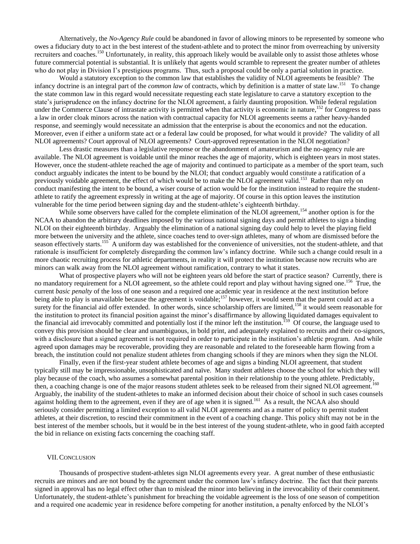Alternatively, the *No-Agency Rule* could be abandoned in favor of allowing minors to be represented by someone who owes a fiduciary duty to act in the best interest of the student-athlete and to protect the minor from overreaching by university recruiters and coaches.<sup>150</sup> Unfortunately, in reality, this approach likely would be available only to assist those athletes whose future commercial potential is substantial. It is unlikely that agents would scramble to represent the greater number of athletes who do not play in Division I's prestigious programs. Thus, such a proposal could be only a partial solution in practice.

Would a statutory exception to the common law that establishes the validity of NLOI agreements be feasible? The infancy doctrine is an integral part of the *common law* of contracts, which by definition is a matter of state law.<sup>151</sup> To change the state common law in this regard would necessitate requesting each state legislature to carve a statutory exception to the state's jurisprudence on the infancy doctrine for the NLOI agreement, a fairly daunting proposition. While federal regulation under the Commerce Clause of intrastate activity is permitted when that activity is economic in nature,<sup>152</sup> for Congress to pass a law in order cloak minors across the nation with contractual capacity for NLOI agreements seems a rather heavy-handed response, and seemingly would necessitate an admission that the enterprise is about the economics and not the education. Moreover, even if either a uniform state act or a federal law could be proposed, for what would it provide? The validity of all NLOI agreements? Court approval of NLOI agreements? Court-approved representation in the NLOI negotiation?

Less drastic measures than a legislative response or the abandonment of amateurism and the no-agency rule are available. The NLOI agreement is voidable until the minor reaches the age of majority, which is eighteen years in most states. However, once the student-athlete reached the age of majority and continued to participate as a member of the sport team, such conduct arguably indicates the intent to be bound by the NLOI; that conduct arguably would constitute a ratification of a previously voidable agreement, the effect of which would be to make the NLOI agreement valid.<sup>153</sup> Rather than rely on conduct manifesting the intent to be bound, a wiser course of action would be for the institution instead to require the studentathlete to ratify the agreement expressly in writing at the age of majority. Of course in this option leaves the institution vulnerable for the time period between signing day and the student-athlete's eighteenth birthday.

While some observers have called for the complete elimination of the NLOI agreement,<sup>154</sup> another option is for the NCAA to abandon the arbitrary deadlines imposed by the various national signing days and permit athletes to sign a binding NLOI on their eighteenth birthday. Arguably the elimination of a national signing day could help to level the playing field more between the university and the athlete, since coaches tend to over-sign athletes, many of whom are dismissed before the season effectively starts.<sup>155</sup> A uniform day was established for the convenience of universities, not the student-athlete, and that rationale is insufficient for completely disregarding the common law's infancy doctrine. While such a change could result in a more chaotic recruiting process for athletic departments, in reality it will protect the institution because now recruits who are minors can walk away from the NLOI agreement without ramification, contrary to what it states.

What of prospective players who will not be eighteen years old before the start of practice season? Currently, there is no mandatory requirement for a NLOI agreement, so the athlete could report and play without having signed one.<sup>156</sup> True, the current *basic penalty* of the loss of one season and a required one academic year in residence at the next institution before being able to play is unavailable because the agreement is voidable;<sup>157</sup> however, it would seem that the parent could act as a surety for the financial aid offer extended. In other words, since scholarship offers are limited,<sup>158</sup> it would seem reasonable for the institution to protect its financial position against the minor's disaffirmance by allowing liquidated damages equivalent to the financial aid irrevocably committed and potentially lost if the minor left the institution.<sup>159</sup> Of course, the language used to convey this provision should be clear and unambiguous, in bold print, and adequately explained to recruits and their co-signors, with a disclosure that a signed agreement is not required in order to participate in the institution's athletic program. And while agreed upon damages may be recoverable, providing they are reasonable and related to the foreseeable harm flowing from a breach, the institution could not penalize student athletes from changing schools if they are minors when they sign the NLOI.

Finally, even if the first-year student athlete becomes of age and signs a binding NLOI agreement, that student typically still may be impressionable, unsophisticated and naïve. Many student athletes choose the school for which they will play because of the coach, who assumes a somewhat parental position in their relationship to the young athlete. Predictably, then, a coaching change is one of the major reasons student athletes seek to be released from their signed NLOI agreement. Arguably, the inability of the student-athletes to make an informed decision about their choice of school in such cases counsels against holding them to the agreement, even if they are of age when it is signed.<sup>161</sup> As a result, the NCAA also should seriously consider permitting a limited exception to all valid NLOI agreements and as a matter of policy to permit student athletes, at their discretion, to rescind their commitment in the event of a coaching change. This policy shift may not be in the best interest of the member schools, but it would be in the best interest of the young student-athlete, who in good faith accepted the bid in reliance on existing facts concerning the coaching staff.

# VII.CONCLUSION

Thousands of prospective student-athletes sign NLOI agreements every year. A great number of these enthusiastic recruits are minors and are not bound by the agreement under the common law's infancy doctrine. The fact that their parents signed in approval has no legal effect other than to mislead the minor into believing in the irrevocability of their commitment. Unfortunately, the student-athlete's punishment for breaching the voidable agreement is the loss of one season of competition and a required one academic year in residence before competing for another institution, a penalty enforced by the NLOI's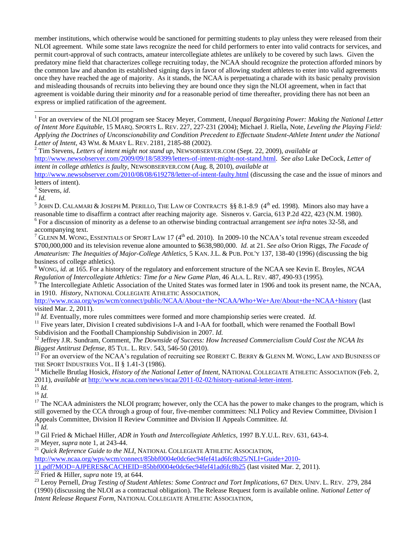member institutions, which otherwise would be sanctioned for permitting students to play unless they were released from their NLOI agreement. While some state laws recognize the need for child performers to enter into valid contracts for services, and permit court-approval of such contracts, amateur intercollegiate athletes are unlikely to be covered by such laws. Given the predatory mine field that characterizes college recruiting today, the NCAA should recognize the protection afforded minors by the common law and abandon its established signing days in favor of allowing student athletes to enter into valid agreements once they have reached the age of majority. As it stands, the NCAA is perpetuating a charade with its basic penalty provision and misleading thousands of recruits into believing they are bound once they sign the NLOI agreement, when in fact that agreement is voidable during their minority *and* for a reasonable period of time thereafter, providing there has not been an express or implied ratification of the agreement.

<sup>2</sup> Tim Stevens, *Letters of intent might not stand up*, NEWSOBSERVER.COM (Sept. 22, 2009), *available at*  [http://www.newsobserver.com/2009/09/18/58399/letters-of-intent-might-not-stand.html.](http://www.newsobserver.com/2009/09/18/58399/letters-of-intent-might-not-stand.html) *See also* Luke DeCock, *Letter of intent in college athletics is faulty*, NEWSOBSERVER.COM (Aug. 8, 2010), *available at*  <http://www.newsobserver.com/2010/08/08/619278/letter-of-intent-faulty.html> (discussing the case and the issue of minors and

letters of intent).

3 Stevens, *id*.

4 *Id.* 

 $\overline{a}$ 

<sup>5</sup> JOHN D. CALAMARI & JOSEPH M. PERILLO, THE LAW OF CONTRACTS §§ 8.1-8.9 (4<sup>th</sup> ed. 1998). Minors also may have a reasonable time to disaffirm a contract after reaching majority age. Sisneros v. Garcia, 613 P.2d 422, 423 (N.M. 1980). 6 For a discussion of minority as a defense to an otherwise binding contractual arrangement *see infra* notes 32-58, and accompanying text.

<sup>8</sup> WONG, *id.* at 165. For a history of the regulatory and enforcement structure of the NCAA see Kevin E. Broyles, *NCAA Regulation of Intercollegiate Athletics: Time for a New Game Plan,* 46 ALA. L. REV. 487, 490-93 (1995).

<sup>9</sup> The Intercollegiate Athletic Association of the United States was formed later in 1906 and took its present name, the NCAA, in 1910. *History*, NATIONAL COLLEGIATE ATHLETIC ASSOCIATION,

<http://www.ncaa.org/wps/wcm/connect/public/NCAA/About+the+NCAA/Who+We+Are/About+the+NCAA+history> (last visited Mar. 2, 2011).

<sup>10</sup> *Id.* Eventually, more rules committees were formed and more championship series were created. *Id.* 

<sup>11</sup> Five years later, Division I created subdivisions I-A and I-AA for football, which were renamed the Football Bowl Subdivision and the Football Championship Subdivision in 2007. *Id.*

<sup>12</sup> Jeffrey J.R. Sundram, Comment, *The Downside of Success: How Increased Commercialism Could Cost the NCAA Its Biggest Antitrust Defense*, 85 TUL. L. REV. 543, 546-50 (2010).

 $^{13}$  For an overview of the NCAA's regulation of recruiting see ROBERT C. BERRY & GLENN M. WONG, LAW AND BUSINESS OF THE SPORT INDUSTRIES VOL. II § 1.41-3 (1986).

<sup>14</sup> Michelle Brutlag Hosick, *History of the National Letter of Intent*, NATIONAL COLLEGIATE ATHLETIC ASSOCIATION (Feb. 2, 2011), *available at* [http://www.ncaa.com/news/ncaa/2011-02-02/history-national-letter-intent.](http://www.ncaa.com/news/ncaa/2011-02-02/history-national-letter-intent)

<sup>15</sup> *Id.*  $^{16}$  *Id.* 

 $17$  The NCAA administers the NLOI program; however, only the CCA has the power to make changes to the program, which is still governed by the CCA through a group of four, five-member committees: NLI Policy and Review Committee, Division I Appeals Committee, Division II Review Committee and Division II Appeals Committee. *Id.* <sup>18</sup> *Id.*

<sup>19</sup> Gil Fried & Michael Hiller, *ADR in Youth and Intercollegiate Athletics,* 1997 B.Y.U.L. REV. 631, 643-4.

<sup>20</sup> Meyer, *supra* note 1, at 243-44.

<sup>21</sup> *Quick Reference Guide to the NLI*, NATIONAL COLLEGIATE ATHLETIC ASSOCIATION,

[http://www.ncaa.org/wps/wcm/connect/85bbf0004e0dc6ec94fef41ad6fc8b25/NLI+Guide+2010-](http://www.ncaa.org/wps/wcm/connect/85bbf0004e0dc6ec94fef41ad6fc8b25/NLI+Guide+2010-11.pdf?MOD=AJPERES&CACHEID=85bbf0004e0dc6ec94fef41ad6fc8b25)

[11.pdf?MOD=AJPERES&CACHEID=85bbf0004e0dc6ec94fef41ad6fc8b25](http://www.ncaa.org/wps/wcm/connect/85bbf0004e0dc6ec94fef41ad6fc8b25/NLI+Guide+2010-11.pdf?MOD=AJPERES&CACHEID=85bbf0004e0dc6ec94fef41ad6fc8b25) (last visited Mar. 2, 2011).

<sup>22</sup> Fried & Hiller, *supra* note 19, at 644.

<sup>23</sup> Leroy Pernell, *Drug Testing of Student Athletes: Some Contract and Tort Implications*, 67 DEN. UNIV. L. REV. 279, 284 (1990) (discussing the NLOI as a contractual obligation). The Release Request form is available online. *National Letter of Intent Release Request Form*, NATIONAL COLLEGIATE ATHLETIC ASSOCIATION,

<sup>&</sup>lt;sup>1</sup> For an overview of the NLOI program see Stacey Meyer, Comment, *Unequal Bargaining Power: Making the National Letter of Intent More Equitable,* 15 MARQ. SPORTS L. REV. 227, 227-231 (2004); Michael J. Riella, Note, *Leveling the Playing Field: Applying the Doctrines of Unconscionability and Condition Precedent to Effectuate Student-Athlete Intent under the National Letter of Intent*, 43 WM. & MARY L. REV. 2181, 2185-88 (2002).

GLENN M. WONG, ESSENTIALS OF SPORT LAW 17 (4<sup>th</sup> ed. 2010). In 2009-10 the NCAA's total revenue stream exceeded \$700,000,000 and its television revenue alone amounted to \$638,980,000. *Id.* at 21. *See also* Orion Riggs, *The Facade of Amateurism: The Inequities of Major-College Athletics,* 5 KAN. J.L. & PUB. POL'Y 137, 138-40 (1996) (discussing the big business of college athletics).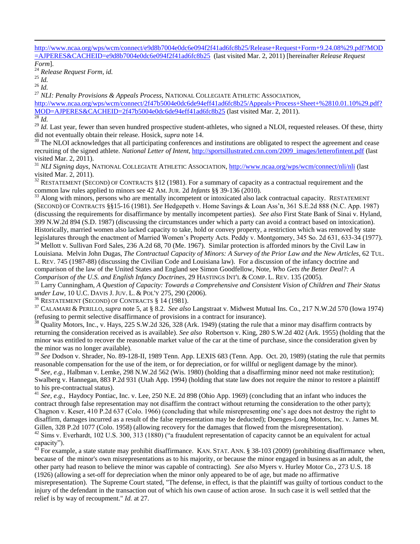[http://www.ncaa.org/wps/wcm/connect/e9d8b7004e0dc6e094f2f41ad6fc8b25/Release+Request+Form+9.24.08%29.pdf?MOD](http://www.ncaa.org/wps/wcm/connect/e9d8b7004e0dc6e094f2f41ad6fc8b25/Release+Request+Form+9.24.08%29.pdf?MOD=AJPERES&CACHEID=e9d8b7004e0dc6e094f2f41ad6fc8b25) [=AJPERES&CACHEID=e9d8b7004e0dc6e094f2f41ad6fc8b25](http://www.ncaa.org/wps/wcm/connect/e9d8b7004e0dc6e094f2f41ad6fc8b25/Release+Request+Form+9.24.08%29.pdf?MOD=AJPERES&CACHEID=e9d8b7004e0dc6e094f2f41ad6fc8b25) (last visited Mar. 2, 2011) [hereinafter *Release Request* 

*Form*].

<sup>24</sup> *Release Request Form, id.*

<sup>25</sup> *Id.*

 $\overline{a}$ 

<sup>26</sup> *Id.*

<sup>27</sup> *NLI: Penalty Provisions & Appeals Process*, NATIONAL COLLEGIATE ATHLETIC ASSOCIATION,

[http://www.ncaa.org/wps/wcm/connect/2f47b5004e0dc6de94eff41ad6fc8b25/Appeals+Process+Sheet+%2810.01.10%29.pdf?](http://www.ncaa.org/wps/wcm/connect/2f47b5004e0dc6de94eff41ad6fc8b25/Appeals+Process+Sheet+%2810.01.10%29.pdf?MOD=AJPERES&CACHEID=2f47b5004e0dc6de94eff41ad6fc8b25) [MOD=AJPERES&CACHEID=2f47b5004e0dc6de94eff41ad6fc8b25](http://www.ncaa.org/wps/wcm/connect/2f47b5004e0dc6de94eff41ad6fc8b25/Appeals+Process+Sheet+%2810.01.10%29.pdf?MOD=AJPERES&CACHEID=2f47b5004e0dc6de94eff41ad6fc8b25) (last visited Mar. 2, 2011).

 $\overline{\frac{28}{ld}}$ .

<sup>29</sup> *Id.* Last year, fewer than seven hundred prospective student-athletes, who signed a NLOI, requested releases. Of these, thirty did not eventually obtain their release. Hosick, *supra* note 14.

<sup>30</sup> The NLOI acknowledges that all participating conferences and institutions are obligated to respect the agreement and cease recruiting of the signed athlete. *National Letter of Intent*, [http://sportsillustrated.cnn.com/2009\\_images/letterofintent.pdf](http://sportsillustrated.cnn.com/2009_images/letterofintent.pdf) (last visited Mar. 2, 2011).

<sup>31</sup> *NLI Signing days*, NATIONAL COLLEGIATE ATHLETIC ASSOCIATION,<http://www.ncaa.org/wps/wcm/connect/nli/nli> (last visited Mar. 2, 2011).

 $32$  RESTATEMENT (SECOND) OF CONTRACTS §12 (1981). For a summary of capacity as a contractual requirement and the common law rules applied to minors see 42 AM. JUR. 2d *Infants* §§ 39-136 (2010).

 $33$  Along with minors, persons who are mentally incompetent or intoxicated also lack contractual capacity. RESTATEMENT (SECOND) OF CONTRACTS §§15-16 (1981). *See* Hedgepeth v. Home Savings & Loan Ass'n, 361 S.E.2d 888 (N.C. App. 1987) (discussing the requirements for disaffirmance by mentally incompetent parties). *See also* First State Bank of Sinai v. Hyland, 399 N.W.2d 894 (S.D. 1987) (discussing the circumstances under which a party can avoid a contract based on intoxication). Historically, married women also lacked capacity to take, hold or convey property, a restriction which was removed by state legislatures through the enactment of Married Women's Property Acts. Peddy v. Montgomery, 345 So. 2d 631, 633-34 (1977). <sup>34</sup> Mellott v. Sullivan Ford Sales, 236 A.2d 68, 70 (Me. 1967). Similar protection is afforded minors by the Civil Law in

Louisiana. Melvin John Dugas, *The Contractual Capacity of Minors: A Survey of the Prior Law and the New Articles*, 62 TUL. L. REV. 745 (1987-88) (discussing the Civilian Code and Louisiana law). For a discussion of the infancy doctrine and comparison of the law of the United States and England see Simon Goodfellow, Note, *Who Gets the Better Deal?: A* 

*Comparison of the U.S. and English Infancy Doctrines*, 29 HASTINGS INT'L & COMP. L. REV. 135 (2005).

<sup>35</sup> Larry Cunningham, *A Question of Capacity: Towards a Comprehensive and Consistent Vision of Children and Their Status under Law*, 10 U.C. DAVIS J. JUV. L. & POL'Y 275, 290 (2006).

<sup>36</sup> RESTATEMENT (SECOND) OF CONTRACTS § 14 (1981).

<sup>37</sup> CALAMARI & PERILLO, *supra* note 5, at § 8.2. *See also* Langstraat v. Midwest Mutual Ins. Co., 217 N.W.2d 570 (Iowa 1974) (refusing to permit selective disaffirmance of provisions in a contract for insurance).

 $38$  Quality Motors, Inc., v. Hays, 225 S.W.2d 326, 328 (Ark. 1949) (stating the rule that a minor may disaffirm contracts by returning the consideration received as is available). *See also* Robertson v. King, 280 S.W.2d 402 (Ark. 1955) (holding that the minor was entitled to recover the reasonable market value of the car at the time of purchase, since the consideration given by the minor was no longer available).

<sup>39</sup> See Dodson v. Shrader, No. 89-128-II, 1989 Tenn. App. LEXIS 683 (Tenn. App. Oct. 20, 1989) (stating the rule that permits reasonable compensation for the use of the item, or for depreciation, or for willful or negligent damage by the minor). <sup>40</sup> *See, e.g.,* Halbman v. Lemke, 298 N.W.2d 562 (Wis. 1980) (holding that a disaffirming minor need not make restitution); Swalberg v. Hannegan, 883 P.2d 931 (Utah App. 1994) (holding that state law does not require the minor to restore a plaintiff to his pre-contractual status).

<sup>41</sup> See, e.g., Haydocy Pontiac, Inc. v. Lee, 250 N.E. 2d 898 (Ohio App. 1969) (concluding that an infant who induces the contract through false representation may not disaffirm the contract without returning the consideration to the other party); Chagnon v. Keser, 410 P.2d 637 (Colo. 1966) (concluding that while misrepresenting one's age does not destroy the right to disaffirm, damages incurred as a result of the false representation may be deducted); Doenges-Long Motors, Inc. v. James M. Gillen, 328 P.2d 1077 (Colo. 1958) (allowing recovery for the damages that flowed from the misrepresentation).

<sup>42</sup> Sims v. Everhardt, 102 U.S. 300, 313 (1880) ("a fraudulent representation of capacity cannot be an equivalent for actual capacity").

 $^{43}$  For example, a state statute may prohibit disaffirmance. KAN. STAT. ANN. § 38-103 (2009) (prohibiting disaffirmance when, because of the minor's own misrepresentations as to his majority, or because the minor engaged in business as an adult, the other party had reason to believe the minor was capable of contracting). *See also* Myers v. Hurley Motor Co., 273 U.S. 18 (1926) (allowing a set-off for depreciation when the minor only appeared to be of age, but made no affirmative misrepresentation). The Supreme Court stated, "The defense, in effect, is that the plaintiff was guilty of tortious conduct to the injury of the defendant in the transaction out of which his own cause of action arose. In such case it is well settled that the relief is by way of recoupment." *Id.* at 27.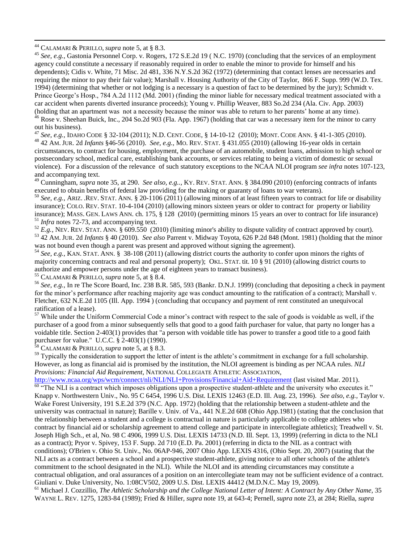<sup>44</sup> CALAMARI & PERILLO, *supra* note 5, at § 8.3.

 $\overline{a}$ 

<sup>45</sup> *See, e.g.,* Gastonia Personnel Corp. v. Rogers, 172 S.E.2d 19 ( N.C. 1970) (concluding that the services of an employment agency could constitute a necessary if reasonably required in order to enable the minor to provide for himself and his dependents); Cidis v. White, 71 Misc. 2d 481, 336 N.Y.S.2d 362 (1972) (determining that contact lenses are necessaries and requiring the minor to pay their fair value); Marshall v. Housing Authority of the City of Taylor, 866 F. Supp. 999 (W.D. Tex. 1994) (determining that whether or not lodging is a necessary is a question of fact to be determined by the jury); Schmidt v. Prince George's Hosp., 784 A.2d 1112 (Md. 2001) (finding the minor liable for necessary medical treatment associated with a car accident when parents diverted insurance proceeds); Young v. Phillip Weaver, 883 So.2d 234 (Ala. Civ. App. 2003) (holding that an apartment was not a necessity because the minor was able to return to her parents' home at any time).

<sup>46</sup> Rose v. Sheehan Buick, Inc., 204 So.2d 903 (Fla. App. 1967) (holding that car was a necessary item for the minor to carry out his business).

<sup>47</sup> *See, e.g.,* IDAHO CODE § 32-104 (2011); N.D. CENT. CODE, § 14-10-12 (2010); MONT. CODE ANN. § 41-1-305 (2010). <sup>48</sup> 42 AM. JUR. 2d *Infants* §46-56 (2010). *See, e.g.,* MO. REV. STAT. § 431.055 (2010) (allowing 16-year olds in certain circumstances, to contract for housing, employment, the purchase of an automobile, student loans, admission to high school or postsecondary school, medical care, establishing bank accounts, or services relating to being a victim of domestic or sexual violence). For a discussion of the relevance of such statutory exceptions to the NCAA NLOI program *see infra* notes 107-123, and accompanying text.

<sup>49</sup> Cunningham, *supra* note 35, at 290. *See also, e.g..,* KY. REV. STAT. ANN. § 384.090 (2010) (enforcing contracts of infants executed to obtain benefits of federal law providing for the making or guaranty of loans to war veterans).

<sup>50</sup> *See, e.g.,* ARIZ. .REV. STAT. ANN. § 20-1106 (2011) (allowing minors of at least fifteen years to contract for life or disability insurance); COLO. REV. STAT. 10-4-104 (2010) (allowing minors sixteen years or older to contract for property or liability insurance); MASS. GEN. LAWS ANN. ch. 175, § 128 (2010) (permitting minors 15 years an over to contract for life insurance) <sup>51</sup> *Infra* notes 72-73, and accompanying text.

 $^{52}$  *E.g.*, NEV. REV. STAT. ANN.  $\frac{609.550}{9.550}$  (2010) (limiting minor's ability to dispute validity of contract approved by court). <sup>53</sup> 42 AM. JUR. 2d *Infants* § 40 (2010). *See also* Parrent v. Midway Toyota, 626 P.2d 848 (Mont. 1981) (holding that the minor was not bound even though a parent was present and approved without signing the agreement).

<sup>54</sup> *See, e.g.,* KAN. STAT. ANN. § 38-108 (2011) (allowing district courts the authority to confer upon minors the rights of majority concerning contracts and real and personal property); OKL. STAT. tit. 10 § 91 (2010) (allowing district courts to authorize and empower persons under the age of eighteen years to transact business).

<sup>55</sup> CALAMARI & PERILLO, *supra* note 5, at § 8.4.

<sup>56</sup> *See, e.g.,* In re The Score Board, Inc. 238 B.R. 585, 593 (Bankr. D.N.J. 1999) (concluding that depositing a check in payment for the minor's performance after reaching majority age was conduct amounting to the ratification of a contract); Marshall v. Fletcher, 632 N.E.2d 1105 (Ill. App. 1994 ) (concluding that occupancy and payment of rent constituted an unequivocal ratification of a lease).

 $57$  While under the Uniform Commercial Code a minor's contract with respect to the sale of goods is voidable as well, if the purchaser of a good from a minor subsequently sells that good to a good faith purchaser for value, that party no longer has a voidable title. Section 2-403(1) provides that "a person with voidable title has power to transfer a good title to a good faith purchaser for value." U.C.C. § 2-403(1) (1990).

<sup>58</sup> CALAMARI & PERILLO, *supra* note 5, at § 8.3.

<sup>59</sup> Typically the consideration to support the letter of intent is the athlete's commitment in exchange for a full scholarship. However, as long as financial aid is promised by the institution, the NLOI agreement is binding as per NCAA rules. *NLI Provisions: Financial Aid Requirement*, NATIONAL COLLEGIATE ATHLETIC ASSOCIATION,

<http://www.ncaa.org/wps/wcm/connect/nli/NLI/NLI+Provisions/Financial+Aid+Requirement> (last visited Mar. 2011).  $60$   $\cdot$  The NLI is a contract which imposes obligations upon a prospective student-athlete and the university who executes it." Knapp v. Northwestern Univ., No. 95 C 6454, 1996 U.S. Dist. LEXIS 12463 (E.D. Ill. Aug. 23, 1996). *See also, e.g.,* Taylor v. Wake Forest University, 191 S.E.2d 379 (N.C. App. 1972) (holding that the relationship between a student-athlete and the university was contractual in nature); Barille v. Univ. of Va., 441 N.E.2d 608 (Ohio App.1981) (stating that the conclusion that the relationship between a student and a college is contractual in nature is particularly applicable to college athletes who contract by financial aid or scholarship agreement to attend college and participate in intercollegiate athletics); Treadwell v. St. Joseph High Sch., et al, No. 98 C 4906, 1999 U.S. Dist. LEXIS 14733 (N.D. Ill. Sept. 13, 1999) (referring in dicta to the NLI as a contract); Pryor v. Spivey, 153 F. Supp. 2d 710 (E.D. Pa. 2001) (referring in dicta to the NIL as a contract with conditions); O'Brien v. Ohio St. Univ., No. 06AP-946, 2007 Ohio App. LEXIS 4316, (Ohio Sept. 20, 2007) (stating that the NLI acts as a contract between a school and a prospective student-athlete, giving notice to all other schools of the athlete's commitment to the school designated in the NLI). While the NLOI and its attending circumstances may constitute a contractual obligation, and oral assurances of a position on an intercollegiate team may not be sufficient evidence of a contract. Giuliani v. Duke University, No. 1:08CV502, 2009 U.S. Dist. LEXIS 44412 (M.D.N.C. May 19, 2009).

<sup>61</sup> Michael J. Cozzillio, *The Athletic Scholarship and the College National Letter of Intent: A Contract by Any Other Name*, 35 WAYNE L. REV. 1275, 1283-84 (1989); Fried & Hiller, *supra* note 19, at 643-4; Pernell, *supra* note 23, at 284; Riella, *supra*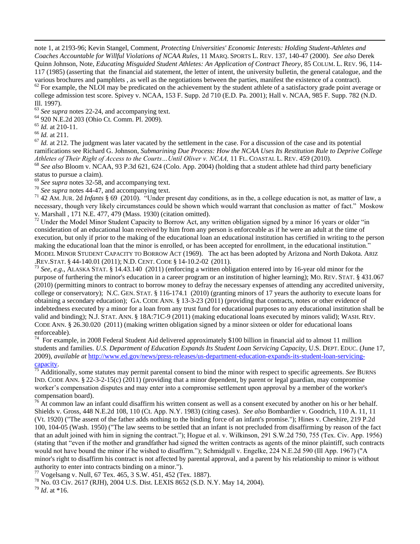note 1, at 2193-96; Kevin Stangel, Comment, *Protecting Universities' Economic Interests: Holding Student-Athletes and Coaches Accountable for Willful Violations of NCAA Rules*, 11 MARQ. SPORTS L. REV. 137, 140-47 (2000). *See also* Derek Quinn Johnson, Note, *Educating Misguided Student Athletes: An Application of Contract Theory,* 85 COLUM. L. REV. 96, 114- 117 (1985) (asserting that the financial aid statement, the letter of intent, the university bulletin, the general catalogue, and the various brochures and pamphlets , as well as the negotiations between the parties, manifest the existence of a contract).

 $62$  For example, the NLOI may be predicated on the achievement by the student athlete of a satisfactory grade point average or college admission test score. Spivey v. NCAA, 153 F. Supp. 2d 710 (E.D. Pa. 2001); Hall v. NCAA, 985 F. Supp. 782 (N.D. Ill. 1997).

<sup>63</sup> *See supra* notes 22-24, and accompanying text.

<sup>64</sup> 920 N.E.2d 203 (Ohio Ct. Comm. Pl. 2009).

<sup>65</sup> *Id.* at 210-11.

<sup>66</sup> *Id.* at 211.

 $\overline{a}$ 

 $67$  *Id.* at 212. The judgment was later vacated by the settlement in the case. For a discussion of the case and its potential ramifications see Richard G. Johnson, *Submarining Due Process: How the NCAA Uses Its Restitution Rule to Deprive College Athletes of Their Right of Access to the Courts…Until Oliver v. NCAA,* 11 FL. COASTAL L. REV. 459 (2010).

<sup>68</sup> *See also* Bloom v. NCAA, 93 P.3d 621, 624 (Colo. App. 2004) (holding that a student athlete had third party beneficiary status to pursue a claim).

<sup>69</sup> *See supra* notes 32-58, and accompanying text.

<sup>70</sup> *See supra* notes 44-47, and accompanying text.

<sup>71</sup> 42 AM. JUR. 2d *Infants* § 69 (2010). "Under present day conditions, as in the, a college education is not, as matter of law, a necessary, though very likely circumstances could be shown which would warrant that conclusion as matter of fact." Moskow v. Marshall , 171 N.E. 477, 479 (Mass. 1930) (citation omitted).

<sup>72</sup> Under the Model Minor Student Capacity to Borrow Act, any written obligation signed by a minor 16 years or older "in consideration of an educational loan received by him from any person is enforceable as if he were an adult at the time of execution, but only if prior to the making of the educational loan an educational institution has certified in writing to the person making the educational loan that the minor is enrolled, or has been accepted for enrollment, in the educational institution." MODEL MINOR STUDENT CAPACITY TO BORROW ACT (1969). The act has been adopted by Arizona and North Dakota. ARIZ .REV.STAT. § 44-140.01 (2011); N.D. CENT. CODE § 14-10.2-02 (2011).

<sup>73</sup> *See, e.g*., ALASKA STAT. § 14.43.140 (2011) (enforcing a written obligation entered into by 16-year old minor for the purpose of furthering the minor's education in a career program or an institution of higher learning); MO. REV. STAT. § 431.067 (2010) (permitting minors to contract to borrow money to defray the necessary expenses of attending any accredited university, college or conservatory); N.C. GEN. STAT. § 116-174.1 (2010) (granting minors of 17 years the authority to execute loans for obtaining a secondary education); GA. CODE ANN. § 13-3-23 (2011) (providing that contracts, notes or other evidence of indebtedness executed by a minor for a loan from any trust fund for educational purposes to any educational institution shall be valid and binding); N.J. STAT. ANN. § 18A:71C-9 (2011) (making educational loans executed by minors valid); WASH. REV. CODE ANN. § 26.30.020 (2011) (making written obligation signed by a minor sixteen or older for educational loans enforceable).

<sup>74</sup> For example, in 2008 Federal Student Aid delivered approximately \$100 billion in financial aid to almost 11 million students and families. *U.S. Department of Education Expands Its Student Loan Servicing Capacity*, U.S. DEPT. EDUC. (June 17, 2009), *available at* [http://www.ed.gov/news/press-releases/us-department-education-expands-its-student-loan-servicing](http://www.ed.gov/news/press-releases/us-department-education-expands-its-student-loan-servicing-capacity)[capacity.](http://www.ed.gov/news/press-releases/us-department-education-expands-its-student-loan-servicing-capacity)

<sup>75</sup> Additionally, some statutes may permit parental consent to bind the minor with respect to specific agreements. *See* BURNS IND. CODE ANN. § 22-3-2-15(c) (2011) (providing that a minor dependent, by parent or legal guardian, may compromise worker's compensation disputes and may enter into a compromise settlement upon approval by a member of the worker's compensation board).

 $^{76}$  At common law an infant could disaffirm his written consent as well as a consent executed by another on his or her behalf. Shields v. Gross, 448 N.E.2d 108, 110 (Ct. App. N.Y. 1983) (citing cases). *See also* Bombardier v. Goodrich, 110 A. 11, 11 (Vt. 1920) ("The assent of the father adds nothing to the binding force of an infant's promise."); Hines v. Cheshire, 219 P.2d 100, 104-05 (Wash. 1950) ("The law seems to be settled that an infant is not precluded from disaffirming by reason of the fact that an adult joined with him in signing the contract."); Hogue et al. v. Wilkinson, 291 S.W.2d 750, 755 (Tex. Civ. App. 1956) (stating that "even if the mother and grandfather had signed the written contracts as agents of the minor plaintiff, such contracts would not have bound the minor if he wished to disaffirm."); Schmidgall v. Engelke, 224 N.E.2d 590 (Ill App. 1967) ("A minor's right to disaffirm his contract is not affected by parental approval, and a parent by his relationship to minor is without authority to enter into contracts binding on a minor.").

<sup>77</sup> Vogelsang v. Null, 67 Tex. 465, 3 S.W. 451, 452 (Tex. 1887).

<sup>78</sup> No. 03 Civ. 2617 (RJH), 2004 U.S. Dist. LEXIS 8652 (S.D. N.Y. May 14, 2004).

<sup>79</sup> *Id*. at \*16.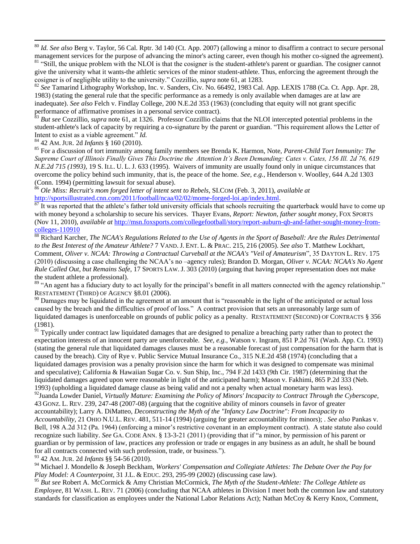<sup>80</sup> *Id. See also* Berg v. Taylor, 56 Cal. Rptr. 3d 140 (Ct. App. 2007) (allowing a minor to disaffirm a contract to secure personal management services for the purpose of advancing the minor's acting career, even though his mother co-signed the agreement). <sup>81</sup> "Still, the unique problem with the NLOI is that the cosigner is the student-athlete's parent or guardian. The cosigner cannot give the university what it wants-the athletic services of the minor student-athlete. Thus, enforcing the agreement through the cosigner is of negligible utility to the university." Cozzillio, *supra* note 61, at 1283.

<sup>82</sup> *See* Tamarind Lithography Workshop, Inc. v. Sanders, Civ. No. 66492, 1983 Cal. App. LEXIS 1788 (Ca. Ct. App. Apr. 28, 1983) (stating the general rule that the specific performance as a remedy is only available when damages are at law are inadequate). *See also* Felch v. Findlay College, 200 N.E.2d 353 (1963) (concluding that equity will not grant specific performance of affirmative promises in a personal service contract).

<sup>83</sup> *But see* Cozzillio, *supra* note 61, at 1326. Professor Cozzillio claims that the NLOI intercepted potential problems in the student-athlete's lack of capacity by requiring a co-signature by the parent or guardian. "This requirement allows the Letter of Intent to exist as a viable agreement." *Id.*

<sup>84</sup> 42 AM. JUR. 2d *Infants* § 160 (2010).

 $\overline{a}$ 

<sup>85</sup> For a discussion of tort immunity among family members see Brenda K. Harmon, Note, *Parent-Child Tort Immunity: The Supreme Court of Illinois Finally Gives This Doctrine the Attention It's Been Demanding: Cates v. Cates, 156 Ill. 2d 76, 619 N.E.2d 715 (1993),* 19 S. ILL. U. L. J. 633 (1995). Waivers of immunity are usually found only in unique circumstances that overcome the policy behind such immunity, that is, the peace of the home. *See, e.g.,* Henderson v. Woolley, 644 A.2d 1303 (Conn. 1994) (permitting lawsuit for sexual abuse).

<sup>86</sup> *Ole Miss: Recruit's mom forged letter of intent sent to Rebels*, SI.COM (Feb. 3, 2011), *available at* [http://sportsillustrated.cnn.com/2011/football/ncaa/02/02/mome-forged-loi.ap/index.html.](http://sportsillustrated.cnn.com/2011/football/ncaa/02/02/mome-forged-loi.ap/index.html)

<sup>87</sup> It was reported that the athlete's father told university officials that schools recruiting the quarterback would have to come up with money beyond a scholarship to secure his services. Thayer Evans, *Report: Newton, father sought money*, FOX SPORTS (Nov 11, 2010), *available at* [http://msn.foxsports.com/collegefootball/story/report-auburn-qb-and-father-sought-money-from](http://msn.foxsports.com/collegefootball/story/report-auburn-qb-and-father-sought-money-from-colleges-110910)[colleges-110910](http://msn.foxsports.com/collegefootball/story/report-auburn-qb-and-father-sought-money-from-colleges-110910)

<sup>88</sup> Richard Karcher, *The NCAA's Regulations Related to the Use of Agents in the Sport of Baseball: Are the Rules Detrimental to the Best Interest of the Amateur Athlete?* 7 VAND. J. ENT. L. & PRAC. 215, 216 (2005). *See also* T. Matthew Lockhart, Comment, *Oliver v. NCAA: Throwing a Contractual Curveball at the NCAA's "Veil of Amateurism*", 35 DAYTON L. REV. 175 (2010) (discussing a case challenging the NCAA's no –agency rules); Brandon D. Morgan, *Oliver v. NCAA: NCAA's No Agent Rule Called Out, but Remains Safe*, 17 SPORTS LAW. J. 303 (2010) (arguing that having proper representation does not make the student athlete a professional).

 $89$  "An agent has a fiduciary duty to act loyally for the principal's benefit in all matters connected with the agency relationship." RESTATEMENT (THIRD) OF AGENCY §8.01 (2006).

<sup>90</sup> Damages may be liquidated in the agreement at an amount that is "reasonable in the light of the anticipated or actual loss caused by the breach and the difficulties of proof of loss." A contract provision that sets an unreasonably large sum of liquidated damages is unenforceable on grounds of public policy as a penalty. RESTATEMENT (SECOND) OF CONTRACTS § 356 (1981).

 $91$  Typically under contract law liquidated damages that are designed to penalize a breaching party rather than to protect the expectation interests of an innocent party are unenforceable. *See, e.g.,* Watson v. Ingram, 851 P.2d 761 (Wash. App. Ct. 1993) (stating the general rule that liquidated damages clauses must be a reasonable forecast of just compensation for the harm that is caused by the breach). City of Rye v. Public Service Mutual Insurance Co., 315 N.E.2d 458 (1974) (concluding that a liquidated damages provision was a penalty provision since the harm for which it was designed to compensate was minimal and speculative); California & Hawaiian Sugar Co. v. Sun Ship, Inc., 794 F.2d 1433 (9th Cir. 1987) (determining that the liquidated damages agreed upon were reasonable in light of the anticipated harm); Mason v. Fakhimi, 865 P.2d 333 (Neb. 1993) (upholding a liquidated damage clause as being valid and not a penalty when actual monetary harm was less). <sup>92</sup>Juanda Lowder Daniel, *Virtually Mature: Examining the Policy of Minors' Incapacity to Contract Through the Cyberscope*, 43 GONZ. L. REV. 239, 247-48 (2007-08) (arguing that the cognitive ability of minors counsels in favor of greater accountability); Larry A. DiMatteo, *Deconstructing the Myth of the "Infancy Law Doctrine": From Incapacity to Accountability,* 21 OHIO N.U.L. REV. 481, 511-14 (1994) (arguing for greater accountability for minors); . *See also* Pankas v. Bell, 198 A.2d 312 (Pa. 1964) (enforcing a minor's restrictive covenant in an employment contract). A state statute also could recognize such liability. *See* GA. CODE ANN. § 13-3-21 (2011) (providing that if "a minor, by permission of his parent or guardian or by permission of law, practices any profession or trade or engages in any business as an adult, he shall be bound for all contracts connected with such profession, trade, or business.").

<sup>93</sup> 42 AM. JUR. 2d *Infants* §§ 54-56 (2010).

<sup>94</sup> Michael J. Mondello & Joseph Beckham, *Workers' Compensation and Collegiate Athletes: The Debate Over the Pay for Play Model: A Counterpoint,* 31 J.L. & EDUC. 293, 295-99 (2002) (discussing case law).

<sup>95</sup> *But see* Robert A. McCormick & Amy Christian McCormick, *The Myth of the Student-Athlete: The College Athlete as Employee*, 81 WASH. L. REV. 71 (2006) (concluding that NCAA athletes in Division I meet both the common law and statutory standards for classification as employees under the National Labor Relations Act); Nathan McCoy & Kerry Knox, Comment,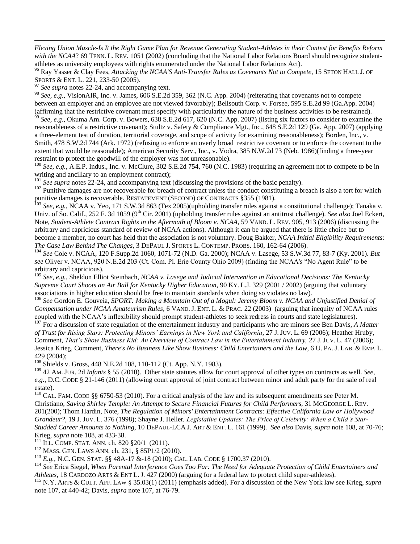*Flexing Union Muscle-Is It the Right Game Plan for Revenue Generating Student-Athletes in their Contest for Benefits Reform with the NCAA*? 69 TENN. L. REV. 1051 (2002) (concluding that the National Labor Relations Board should recognize studentathletes as university employees with rights enumerated under the National Labor Relations Act).

<sup>96</sup> Ray Yasser & Clay Fees, *Attacking the NCAA'S Anti-Transfer Rules as Covenants Not to Compete,* 15 SETON HALL J. OF SPORTS & ENT. L. 221, 233-50 (2005).

<sup>97</sup> See supra notes 22-24, and accompanying text.

 $\overline{a}$ 

<sup>98</sup> *See, e.g.,* VisionAIR, Inc. v. James, 606 S.E.2d 359, 362 (N.C. App. 2004) (reiterating that covenants not to compete between an employer and an employee are not viewed favorably); Bellsouth Corp. v. Forsee, 595 S.E.2d 99 (Ga.App. 2004) (affirming that the restrictive covenant must specify with particularity the nature of the business activities to be restrained).

<sup>99</sup> *See, e.g.,* Okuma Am. Corp. v. Bowers, 638 S.E.2d 617, 620 (N.C. App. 2007) (listing six factors to consider to examine the reasonableness of a restrictive covenant); Stultz v. Safety & Compliance Mgt., Inc., 648 S.E.2d 129 (Ga. App. 2007) (applying a three-element test of duration, territorial coverage, and scope of activity for examining reasonableness); Borden, Inc., v. Smith, 478 S.W.2d 744 (Ark. 1972) (refusing to enforce an overly broad restrictive covenant or to enforce the covenant to the extent that would be reasonable); American Security Serv., Inc., v. Vodra, 385 N.W.2d 73 (Neb. 1986)(finding a three-year restraint to protect the goodwill of the employer was not unreasonable).

<sup>100</sup> See, e.g., A.E.P. Indus., Inc. v. McClure, 302 S.E.2d 754, 760 (N.C. 1983) (requiring an agreement not to compete to be in writing and ancillary to an employment contract);

<sup>101</sup> See supra notes 22-24, and accompanying text (discussing the provisions of the basic penalty).

<sup>102</sup> Punitive damages are not recoverable for breach of contract unless the conduct constituting a breach is also a tort for which punitive damages is recoverable. RESTATEMENT (SECOND) OF CONTRACTS §355 (1981).

<sup>103</sup> *See, e.g.,* NCAA v. Yeo, 171 S.W.3d 863 (Tex 2005)(upholding transfer rules against a constitutional challenge); Tanaka v. Univ. of So. Calif., 252 F. 3d 1059 (9<sup>th</sup> Cir. 2001) (upholding transfer rules against an antitrust challenge). *See also* Joel Eckert, Note, *Student-Athlete Contract Rights in the Aftermath of Bloom v. NCAA*, 59 VAND. L. REV. 905, 913 (2006) (discussing the arbitrary and capricious standard of review of NCAA actions). Although it can be argued that there is little choice but to become a member, no court has held that the association is not voluntary. Doug Bakker, *NCAA Initial Eligibility Requirements: The Case Law Behind The Changes*, 3 DEPAUL J. SPORTS L. CONTEMP. PROBS. 160, 162-64 (2006).

<sup>104</sup> *See* Cole v. NCAA, 120 F.Supp.2d 1060, 1071-72 (N.D. Ga. 2000); NCAA v. Lasege, 53 S.W.3d 77, 83-7 (Ky. 2001). *But see* Oliver v. NCAA, 920 N.E.2d 203 (Ct. Com. Pl. Erie County Ohio 2009) (finding the NCAA's "No Agent Rule" to be arbitrary and capricious).

<sup>105</sup> *See, e.g.,* Sheldon Elliot Steinbach, *NCAA v. Lasege and Judicial Intervention in Educational Decisions: The Kentucky Supreme Court Shoots an Air Ball for Kentucky Higher Education*, 90 KY. L.J. 329 (2001 / 2002) (arguing that voluntary associations in higher education should be free to maintain standards when doing so violates no law).

<sup>106</sup> *See* Gordon E. Gouveia, *SPORT: Making a Mountain Out of a Mogul: Jeremy Bloom v. NCAA and Unjustified Denial of Compensation under NCAA Amateurism Rules,* 6 VAND. J. ENT. L. & PRAC. 22 (2003) (arguing that inequity of NCAA rules coupled with the NCAA's inflexibility should prompt student-athletes to seek redress in courts and state legislatures).

<sup>107</sup> For a discussion of state regulation of the entertainment industry and participants who are minors see Ben Davis, *A Matter of Trust for Rising Stars: Protecting Minors' Earnings in New York and California*, 27 J.JUV. L. 69 (2006); Heather Hruby, Comment, *That's Show Business Kid: An Overview of Contract Law in the Entertainment Industry,* 27 J.JUV. L. 47 (2006); Jessica Krieg, Comment, *There's No Business Like Show Business: Child Entertainers and the Law*, 6 U. PA. J. LAB. & EMP. L. 429 (2004);

<sup>108</sup> Shields v. Gross, 448 N.E.2d 108, 110-112 (Ct. App. N.Y. 1983).

<sup>109</sup> 42 AM. JUR. 2d *Infants* § 55 (2010). Other state statutes allow for court approval of other types on contracts as well. *See, e.g.,* D.C. CODE § 21-146 (2011) (allowing court approval of joint contract between minor and adult party for the sale of real estate).

<sup>110</sup> CAL. FAM. CODE §§ 6750-53 (2010). For a critical analysis of the law and its subsequent amendments see Peter M. Christiano, *Saving Shirley Temple: An Attempt to Secure Financial Futures for Child Performers,* 31 MCGEORGE L. REV. 201(200); Thom Hardin, Note, *The Regulation of Minors' Entertainment Contracts: Effective California Law or Hollywood Grandeur?,* 19 J. JUV. L. 376 (1998); Shayne J. Heller*, Legislative Updates: The Price of Celebrity: When a Child's Star-Studded Career Amounts to Nothing,* 10 DEPAUL-LCA J. ART & ENT. L. 161 (1999). *See also* Davis, *supra* note 108, at 70-76; Krieg, *supra* note 108, at 433-38.

 $111$  ILL. COMP. STAT. ANN. ch. 820 §20/1 (2011).

<sup>112</sup> MASS. GEN. LAWS ANN. ch. 231, § 85P1/2 (2010).

<sup>113</sup> *E.g.,* N.C. GEN. STAT. §§ 48A-17 &-18 (2010); CAL. LAB. CODE § 1700.37 (2010).

<sup>114</sup> *See* Erica Siegel, *When Parental Interference Goes Too Far: The Need for Adequate Protection of Child Entertainers and Athletes,* 18 CARDOZO ARTS & ENT L. J. 427 (2000) (arguing for a federal law to protect child super-athletes).

<sup>115</sup> N.Y. ARTS & CULT. AFF. LAW § 35.03(1) (2011) (emphasis added). For a discussion of the New York law see Krieg, *supra* note 107, at 440-42; Davis, *supra* note 107, at 76-79.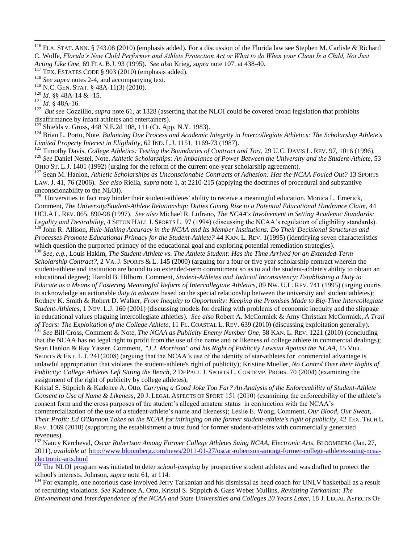<sup>117</sup> TEX. ESTATES CODE § 903 (2010) (emphasis added).

<sup>120</sup> *Id.* §§ 48A-14 & -15.

<sup>121</sup> *Id.* § 48A-16.

 $\overline{a}$ 

<sup>122</sup> But see Cozzillio, supra note 61, at 1328 (asserting that the NLOI could be covered broad legislation that prohibits disaffirmance by infant athletes and entertainers).

<sup>123</sup> Shields v. Gross, 448 N.E.2d 108, 111 (Ct. App. N.Y. 1983).

<sup>124</sup> Brian L. Porto, Note, *Balancing Due Process and Academic Integrity in Intercollegiate Athletics: The Scholarship Athlete's Limited Property Interest in Eligibility,* 62 IND. L.J. 1151, 1169-73 (1987).

<sup>125</sup> Timothy Davis, *College Athletics: Testing the Boundaries of Contract and Tort*, 29 U.C. DAVIS L. REV. 97, 1016 (1996). <sup>126</sup> *See* Daniel Nestel, Note, *Athletic Scholarships: An Imbalance of Power Between the University and the Student-Athlete,* 53 OHIO ST. L.J. 1401 (1992) (urging for the reform of the current one-year scholarship agreement).

<sup>127</sup> Sean M. Hanlon, *Athletic Scholarships as Unconscionable Contracts of Adhesion: Has the NCAA Fouled Out?* 13 SPORTS LAW. J. 41, 76 (2006). *See also* Riella, *supra* note 1, at 2210-215 (applying the doctrines of procedural and substantive unconscionability to the NLOI).

<sup>128</sup> Universities in fact may hinder their student-athletes' ability to receive a meaningful education. Monica L. Emerick, Comment, *The University/Student-Athlete Relationship: Duties Giving Rise to a Potential Educational Hindrance Claim*, 44 UCLA L. REV. 865, 890-98 (1997). *See also* Michael R. Lufrano, *The NCAA's Involvement in Setting Academic Standards: Legality and Desirability,* 4 SETON HALL J. SPORTS L. 97 (1994) (discussing the NCAA's regulation of eligibility standards).

<sup>129</sup> John R. Allison, *Rule-Making Accuracy in the NCAA and Its Member Institutions: Do Their Decisional Structures and Processes Promote Educational Primacy for the Student-Athlete?* 44 KAN. L. REV. 1(1995) (identifying seven characteristics which question the purported primacy of the educational goal and exploring potential remediation strategies).

<sup>130</sup> *See, e.g.,* Louis Hakim, *The Student-Athlete vs. The Athlete Student: Has the Time Arrived for an Extended-Term Scholarship Contract?,* 2 VA. J. SPORTS & L. 145 (2000) (arguing for a four or five year scholarship contract wherein the student-athlete and institution are bound to an extended-term commitment so as to aid the student-athlete's ability to obtain an educational degree); Harold B. Hilborn, Comment, *Student-Athletes and Judicial Inconsistency: Establishing a Duty to Educate as a Means of Fostering Meaningful Reform of Intercollegiate Athletics,* 89 NW. U.L. REV. 741 (1995) (urging courts to acknowledge an actionable *duty to educate* based on the special relationship between the university and student athletes); Rodney K. Smith & Robert D. Walker, *From Inequity to Opportunity: Keeping the Promises Made to Big-Time Intercollegiate Student-Athletes,* 1 NEV. L.J. 160 (2001) (discussing models for dealing with problems of economic inequity and the slippage in educational values plaguing intercollegiate athletics). *See also* Robert A. McCormick & Amy Christian McCormick, *A Trail of Tears: The Exploitation of the College Athlete*, 11 FL. COASTAL L. REV. 639 (2010) (discussing exploitation generally).

<sup>131</sup> *See* Bill Cross, Comment & Note, *The NCAA as Publicity Enemy Number One*, 58 KAN. L. REV. 1221 (2010) (concluding that the NCAA has no legal right to profit from the use of the name and or likeness of college athlete in commercial dealings); Sean Hanlon & Ray Yasser, Comment, "*J.J. Morrison" and his Right of Publicity Lawsuit Against the NCAA*, 15 VILL. SPORTS & ENT. L.J. 241(2008) (arguing that the NCAA's use of the identity of star-athletes for commercial advantage is unlawful appropriation that violates the student-athlete's right of publicity); Kristine Mueller, *No Control Over their Rights of Publicity: College Athletes Left Sitting the Bench*, 2 DEPAUL J. SPORTS L. CONTEMP. PROBS. 70 (2004) (examining the assignment of the right of publicity by college athletes);

Kristal S. Stippich & Kadence A. Otto*, Carrying a Good Joke Too Far? An Analysis of the Enforceability of Student-Athlete Consent to Use of Name & Likeness*, 20 J. LEGAL ASPECTS OF SPORT 151 (2010) (examining the enforceability of the athlete's consent form and the cross purposes of the student's alleged amateur status in conjunction with the NCAA's commercialization of the use of a student-athlete's name and likeness); Leslie E. Wong, Comment, *Our Blood, Our Sweat,*  Their Profit: Ed O'Bannon Takes on the NCAA for infringing on the former student-athlete's right of publicity, 42 TEX. TECH L. REV. 1069 (2010) (supporting the establishment a trust fund for former student-athletes with commercially generated revenues).

<sup>132</sup> Nancy Kercheval, *Oscar Robertson Among Former College Athletes Suing NCAA, Electronic Arts,* BLOOMBERG (Jan. 27, 2011), *available at* [http://www.bloomberg.com/news/2011-01-27/oscar-robertson-among-former-college-athletes-suing-ncaa](http://www.bloomberg.com/news/2011-01-27/oscar-robertson-among-former-college-athletes-suing-ncaa-electronic-arts.html) $\frac{\text{electronic-arts.html}}{^{133} \text{ Tho M} \Omega}$  $\frac{\text{electronic-arts.html}}{^{133} \text{ Tho M} \Omega}$  $\frac{\text{electronic-arts.html}}{^{133} \text{ Tho M} \Omega}$ 

<sup>133</sup> The NLOI program was initiated to deter *school-jumping* by prospective student athletes and was drafted to protect the school's interests. Johnson, *supra* note 61, at 114.

<sup>134</sup> For example, one notorious case involved Jerry Tarkanian and his dismissal as head coach for UNLV basketball as a result of recruiting violations. *See* Kadence A. Otto, Kristal S. Stippich & Gass Weber Mullins*, Revisiting Tarkanian: The Entwinement and Interdependence of the NCAA and State Universities and Colleges 20 Years Later,* 18 J. LEGAL ASPECTS OF

<sup>&</sup>lt;sup>116</sup> FLA. STAT. ANN. § 743.08 (2010) (emphasis added). For a discussion of the Florida law see Stephen M. Carlisle & Richard C. Wolfe, *Florida's New Child Performer and Athlete Protection Act or What to do When your Client Is a Child, Not Just Acting Like One,* 69 FLA. B.J. 93 (1995). *See also* Krieg, *supra* note 107, at 438-40.

<sup>&</sup>lt;sup>118</sup> *See supra* notes 2-4, and accompanying text.

<sup>119</sup> N.C. GEN. STAT. § 48A-11(3) (2010).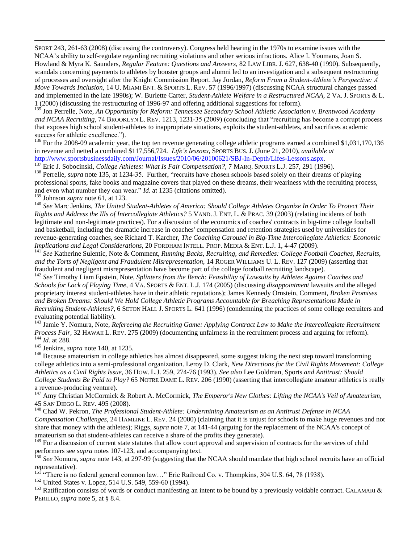SPORT 243, 261-63 (2008) (discussing the controversy). Congress held hearing in the 1970s to examine issues with the NCAA's ability to self-regulate regarding recruiting violations and other serious infractions. Alice I. Youmans, Joan S. Howland & Myra K. Saunders, *Regular Feature: Questions and Answers*, 82 LAW LIBR. J. 627, 638-40 (1990). Subsequently, scandals concerning payments to athletes by booster groups and alumni led to an investigation and a subsequent restructuring of processes and oversight after the Knight Commission Report. Jay Jordan*, Reform From a Student-Athlete's Perspective: A Move Towards Inclusion,* 14 U. MIAMI ENT. & SPORTS L. REV. 57 (1996/1997) (discussing NCAA structural changes passed and implemented in the late 1990s); W. Burlette Carter, *Student-Athlete Welfare in a Restructured NCAA*, 2 VA. J. SPORTS & L. 1 (2000) (discussing the restructuring of 1996-97 and offering additional suggestions for reform).

<sup>135</sup> Jon Perrelle, Note, *An Opportunity for Reform: Tennessee Secondary School Athletic Association v. Brentwood Academy and NCAA Recruiting*, 74 BROOKLYN L. REV. 1213, 1231-35 (2009) (concluding that "recruiting has become a corrupt process that exposes high school student-athletes to inappropriate situations, exploits the student-athletes, and sacrifices academic success for athletic excellence.").

<sup>136</sup> For the 2008-09 academic year, the top ten revenue generating college athletic programs earned a combined \$1,031,170,136 in revenue and netted a combined \$117,556,724. *Life's lessons*, SPORTS BUS. J. (June 21, 2010), *available at* [http://www.sportsbusinessdaily.com/Journal/Issues/2010/06/20100621/SBJ-In-Depth/Lifes-Lessons.aspx.](http://www.sportsbusinessdaily.com/Journal/Issues/2010/06/20100621/SBJ-In-Depth/Lifes-Lessons.aspx)

<sup>137</sup> Eric J. Sobocinski, *College Athletes: What Is Fair Compensation?,* 7 MARQ. SPORTS L.J. 257, 291 (1996).

<sup>138</sup> Perrelle, *supra* note 135, at 1234-35. Further, "recruits have chosen schools based solely on their dreams of playing professional sports, fake books and magazine covers that played on these dreams, their weariness with the recruiting process, and even what number they can wear." *Id.* at 1235 (citations omitted).

<sup>139</sup> Johnson *supra* note 61, at 123.

 $\overline{a}$ 

<sup>140</sup> *See* Marc Jenkins, *The United Student-Athletes of America: Should College Athletes Organize In Order To Protect Their Rights and Address the Ills of Intercollegiate Athletics?* 5 VAND. J. ENT. L. & PRAC. 39 (2003) (relating incidents of both legitimate and non-legitimate practices). For a discussion of the economics of coaches' contracts in big-time college football and basketball, including the dramatic increase in coaches' compensation and retention strategies used by universities for revenue-generating coaches, see Richard T. Karcher, *The Coaching Carousel in Big-Time Intercollegiate Athletics: Economic Implications and Legal Considerations*, 20 FORDHAM INTELL. PROP. MEDIA & ENT. L.J. 1, 4-47 (2009).

<sup>141</sup> *See* Katherine Sulentic, Note & Comment, *Running Backs, Recruiting, and Remedies: College Football Coaches, Recruits, and the Torts of Negligent and Fraudulent Misrepresentation,* 14 ROGER WILLIAMS U. L. REV. 127 (2009) (asserting that fraudulent and negligent misrepresentation have become part of the college football recruiting landscape).

<sup>142</sup> *See* Timothy Liam Epstein, Note, *Splinters from the Bench: Feasibility of Lawsuits by Athletes Against Coaches and Schools for Lack of Playing Time*, 4 VA. SPORTS & ENT. L.J. 174 (2005) (discussing *disappointment* lawsuits and the alleged proprietary interest student-athletes have in their athletic reputations); James Kennedy Ornstein, Comment, *Broken Promises and Broken Dreams: Should We Hold College Athletic Programs Accountable for Breaching Representations Made in Recruiting Student-Athletes?*, 6 SETON HALL J. SPORTS L. 641 (1996) (condemning the practices of some college recruiters and evaluating potential liability).

<sup>143</sup> Jamie Y. Nomura, Note, *Refereeing the Recruiting Game: Applying Contract Law to Make the Intercollegiate Recruitment Process Fair,* 32 HAWAII L. REV. 275 (2009) (documenting unfairness in the recruitment process and arguing for reform). <sup>144</sup> *Id.* at 288.

<sup>145</sup> Jenkins, *supra* note 140, at 1235.

<sup>146</sup> Because amateurism in college athletics has almost disappeared, some suggest taking the next step toward transforming college athletics into a semi-professional organization. Leroy D. Clark, *New Directions for the Civil Rights Movement: College Athletics as a Civil Rights Issue*, 36 HOW. L.J. 259, 274-76 (1993). *See also* Lee Goldman, Sports *and Antitrust: Should College Students Be Paid to Play?* 65 NOTRE DAME L. REV. 206 (1990) (asserting that intercollegiate amateur athletics is really a revenue-producing venture).

<sup>147</sup> Amy Christian McCormick & Robert A. McCormick, *The Emperor's New Clothes: Lifting the NCAA's Veil of Amateurism*, 45 SAN DIEGO L. REV. 495 (2008).

<sup>148</sup> Chad W. Pekron, *The Professional Student-Athlete: Undermining Amateurism as an Antitrust Defense in NCAA Compensation Challenges,* 24 HAMLINE L. REV. 24 (2000) (claiming that it is unjust for schools to make huge revenues and not share that money with the athletes); Riggs, *supra* note 7, at 141-44 (arguing for the replacement of the NCAA's concept of amateurism so that student-athletes can receive a share of the profits they generate).

<sup>149</sup> For a discussion of current state statutes that allow court approval and supervision of contracts for the services of child performers see *supra* notes 107-123, and accompanying text.

<sup>150</sup> *See* Nomura, *supra* note 143, at 297-99 (suggesting that the NCAA should mandate that high school recruits have an official representative).

<sup>151</sup> "There is no federal general common law..." Erie Railroad Co. v. Thompkins,  $304$  U.S. 64, 78 (1938).

<sup>152</sup> United States v. Lopez, 514 U.S. 549, 559-60 (1994).

<sup>153</sup> Ratification consists of words or conduct manifesting an intent to be bound by a previously voidable contract. CALAMARI  $\&$ PERILLO, *supra* note 5, at § 8.4.